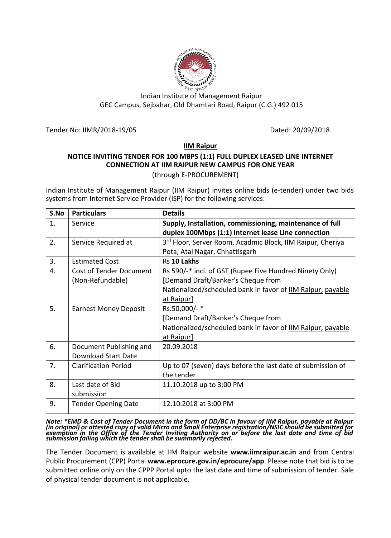

# Indian Institute of Management Raipur GEC Campus, Sejbahar, Old Dhamtari Road, Raipur (C.G.) 492 015

Tender No: IIMR/2018-19/05 Dated: 20/09/2018

# **IIM Raipur**

# **NOTICE INVITING TENDER FOR 100 MBPS (1:1) FULL DUPLEX LEASED LINE INTERNET CONNECTION AT IIM RAIPUR NEW CAMPUS FOR ONE YEAR**

(through E-PROCUREMENT)

Indian Institute of Management Raipur (IIM Raipur) invites online bids (e-tender) under two bids systems from Internet Service Provider (ISP) for the following services:

| S.No           | <b>Particulars</b>             | <b>Details</b>                                              |
|----------------|--------------------------------|-------------------------------------------------------------|
| $\mathbf{1}$ . | Service                        | Supply, Installation, commissioning, maintenance of full    |
|                |                                | duplex 100Mbps (1:1) Internet lease Line connection         |
| 2.             | Service Required at            | 3rd Floor, Server Room, Acadmic Block, IIM Raipur, Cheriya  |
|                |                                | Pota, Atal Nagar, Chhattisgarh                              |
| 3.             | <b>Estimated Cost</b>          | Rs 10 Lakhs                                                 |
| 4.             | <b>Cost of Tender Document</b> | Rs 590/-* incl. of GST (Rupee Five Hundred Ninety Only)     |
|                | (Non-Refundable)               | [Demand Draft/Banker's Cheque from                          |
|                |                                | Nationalized/scheduled bank in favor of IIM Raipur, payable |
|                |                                | at Raipur]                                                  |
| 5.             | <b>Earnest Money Deposit</b>   | Rs.50,000/-*                                                |
|                |                                | [Demand Draft/Banker's Cheque from                          |
|                |                                | Nationalized/scheduled bank in favor of IIM Raipur, payable |
|                |                                | at Raipur]                                                  |
| 6.             | Document Publishing and        | 20.09.2018                                                  |
|                | <b>Download Start Date</b>     |                                                             |
| 7.             | <b>Clarification Period</b>    | Up to 07 (seven) days before the last date of submission of |
|                |                                | the tender                                                  |
| 8.             | Last date of Bid               | 11.10.2018 up to 3:00 PM                                    |
|                | submission                     |                                                             |
| 9.             | <b>Tender Opening Date</b>     | 12.10.2018 at 3:00 PM                                       |
|                |                                |                                                             |

*Note: \*EMD & Cost of Tender Document in the form of DD/BC in favour of IIM Raipur, payable at Raipur (in original) or attested copy of valid Micro and Small Enterprise registration/NSIC should be submitted for exemption in the Office of the Tender Inviting Authority on or before the last date and time of bid submission failing which the tender shall be summarily rejected.*

The Tender Document is available at IIM Raipur website **www.iimraipur.ac.in** and from Central Public Procurement (CPP) Portal **www.eprocure.gov.in/eprocure/app**. Please note that bid is to be submitted online only on the CPPP Portal upto the last date and time of submission of tender. Sale of physical tender document is not applicable.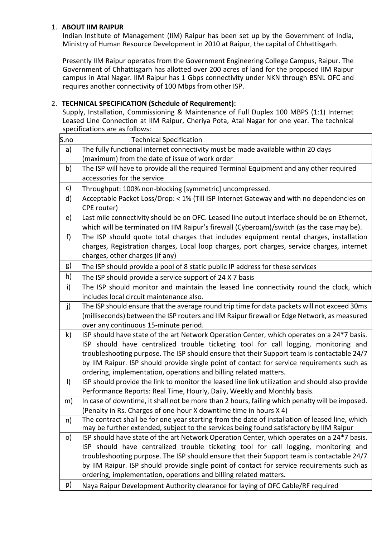# 1. **ABOUT IIM RAIPUR**

Indian Institute of Management (IIM) Raipur has been set up by the Government of India, Ministry of Human Resource Development in 2010 at Raipur, the capital of Chhattisgarh.

Presently IIM Raipur operates from the Government Engineering College Campus, Raipur. The Government of Chhattisgarh has allotted over 200 acres of land for the proposed IIM Raipur campus in Atal Nagar. IIM Raipur has 1 Gbps connectivity under NKN through BSNL OFC and requires another connectivity of 100 Mbps from other ISP.

# 2. **TECHNICAL SPECIFICATION (Schedule of Requirement):**

Supply, Installation, Commissioning & Maintenance of Full Duplex 100 MBPS (1:1) Internet Leased Line Connection at IIM Raipur, Cheriya Pota, Atal Nagar for one year. The technical specifications are as follows:

| S.no    | <b>Technical Specification</b>                                                                                                                                                             |
|---------|--------------------------------------------------------------------------------------------------------------------------------------------------------------------------------------------|
| a)      | The fully functional internet connectivity must be made available within 20 days                                                                                                           |
|         | (maximum) from the date of issue of work order                                                                                                                                             |
| b)      | The ISP will have to provide all the required Terminal Equipment and any other required                                                                                                    |
|         | accessories for the service                                                                                                                                                                |
| c)      | Throughput: 100% non-blocking [symmetric] uncompressed.                                                                                                                                    |
| d)      | Acceptable Packet Loss/Drop: < 1% (Till ISP Internet Gateway and with no dependencies on                                                                                                   |
|         | CPE router)                                                                                                                                                                                |
| e)      | Last mile connectivity should be on OFC. Leased line output interface should be on Ethernet,                                                                                               |
|         | which will be terminated on IIM Raipur's firewall (Cyberoam)/switch (as the case may be).                                                                                                  |
| f)      | The ISP should quote total charges that includes equipment rental charges, installation                                                                                                    |
|         | charges, Registration charges, Local loop charges, port charges, service charges, internet                                                                                                 |
|         | charges, other charges (if any)                                                                                                                                                            |
| g)      | The ISP should provide a pool of 8 static public IP address for these services                                                                                                             |
| h)      | The ISP should provide a service support of 24 X 7 basis                                                                                                                                   |
| i)      | The ISP should monitor and maintain the leased line connectivity round the clock, which                                                                                                    |
|         | includes local circuit maintenance also.                                                                                                                                                   |
| j)      | The ISP should ensure that the average round trip time for data packets will not exceed 30ms                                                                                               |
|         | (milliseconds) between the ISP routers and IIM Raipur firewall or Edge Network, as measured                                                                                                |
|         | over any continuous 15-minute period.                                                                                                                                                      |
| k)      | ISP should have state of the art Network Operation Center, which operates on a 24*7 basis.                                                                                                 |
|         | ISP should have centralized trouble ticketing tool for call logging, monitoring and                                                                                                        |
|         | troubleshooting purpose. The ISP should ensure that their Support team is contactable 24/7                                                                                                 |
|         | by IIM Raipur. ISP should provide single point of contact for service requirements such as                                                                                                 |
|         | ordering, implementation, operations and billing related matters.                                                                                                                          |
| $\vert$ | ISP should provide the link to monitor the leased line link utilization and should also provide                                                                                            |
|         | Performance Reports: Real Time, Hourly, Daily, Weekly and Monthly basis.                                                                                                                   |
| m)      | In case of downtime, it shall not be more than 2 hours, failing which penalty will be imposed.                                                                                             |
|         | (Penalty in Rs. Charges of one-hour X downtime time in hours X 4)                                                                                                                          |
| n)      | The contract shall be for one year starting from the date of installation of leased line, which<br>may be further extended, subject to the services being found satisfactory by IIM Raipur |
| o)      | ISP should have state of the art Network Operation Center, which operates on a 24*7 basis.                                                                                                 |
|         | ISP should have centralized trouble ticketing tool for call logging, monitoring and                                                                                                        |
|         | troubleshooting purpose. The ISP should ensure that their Support team is contactable 24/7                                                                                                 |
|         | by IIM Raipur. ISP should provide single point of contact for service requirements such as                                                                                                 |
|         | ordering, implementation, operations and billing related matters.                                                                                                                          |
| p)      | Naya Raipur Development Authority clearance for laying of OFC Cable/RF required                                                                                                            |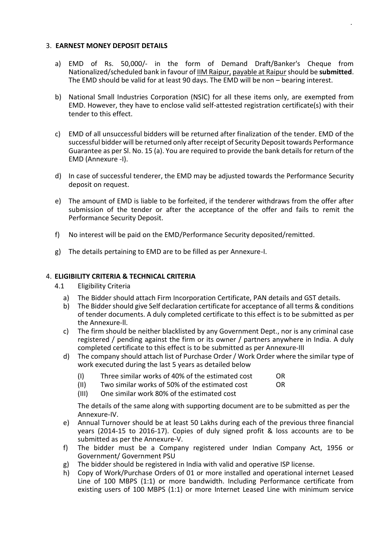# 3. **EARNEST MONEY DEPOSIT DETAILS**

- a) EMD of Rs. 50,000/- in the form of Demand Draft/Banker's Cheque from Nationalized/scheduled bank in favour of IIM Raipur, payable at Raipurshould be **submitted**. The EMD should be valid for at least 90 days. The EMD will be non – bearing interest.
- b) National Small Industries Corporation (NSIC) for all these items only, are exempted from EMD. However, they have to enclose valid self-attested registration certificate(s) with their tender to this effect.
- c) EMD of all unsuccessful bidders will be returned after finalization of the tender. EMD of the successful bidder will be returned only after receipt of Security Deposit towards Performance Guarantee as per Sl. No. 15 (a). You are required to provide the bank details for return of the EMD (Annexure -I).
- d) In case of successful tenderer, the EMD may be adjusted towards the Performance Security deposit on request.
- e) The amount of EMD is liable to be forfeited, if the tenderer withdraws from the offer after submission of the tender or after the acceptance of the offer and fails to remit the Performance Security Deposit.
- f) No interest will be paid on the EMD/Performance Security deposited/remitted.
- g) The details pertaining to EMD are to be filled as per Annexure-I.

## 4. **ELIGIBILITY CRITERIA & TECHNICAL CRITERIA**

- 4.1 Eligibility Criteria
	- a) The Bidder should attach Firm Incorporation Certificate, PAN details and GST details.
	- b) The Bidder should give Self declaration certificate for acceptance of all terms & conditions of tender documents. A duly completed certificate to this effect is to be submitted as per the Annexure-ll.
	- c) The firm should be neither blacklisted by any Government Dept., nor is any criminal case registered / pending against the firm or its owner / partners anywhere in India. A duly completed certificate to this effect is to be submitted as per Annexure-III
	- d) The company should attach list of Purchase Order / Work Order where the similar type of work executed during the last 5 years as detailed below
		- (I) Three similar works of 40% of the estimated cost OR
		- (II) Two similar works of 50% of the estimated cost OR
		- (III) One similar work 80% of the estimated cost

The details of the same along with supporting document are to be submitted as per the Annexure-IV.

- e) Annual Turnover should be at least 50 Lakhs during each of the previous three financial years (2014-15 to 2016-17). Copies of duly signed profit & loss accounts are to be submitted as per the Annexure-V.
- f) The bidder must be a Company registered under Indian Company Act, 1956 or Government/ Government PSU
- g) The bidder should be registered in India with valid and operative ISP license.
- h) Copy of Work/Purchase Orders of 01 or more installed and operational internet Leased Line of 100 MBPS (1:1) or more bandwidth. Including Performance certificate from existing users of 100 MBPS (1:1) or more Internet Leased Line with minimum service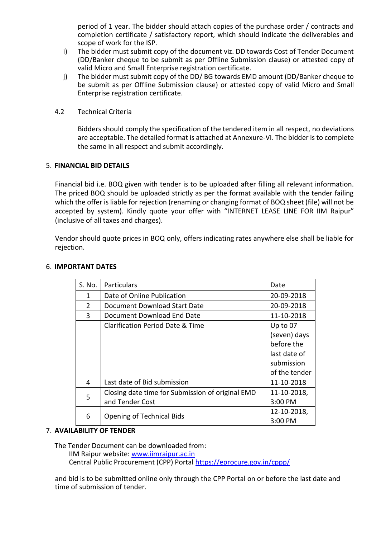period of 1 year. The bidder should attach copies of the purchase order / contracts and completion certificate / satisfactory report, which should indicate the deliverables and scope of work for the ISP.

- i) The bidder must submit copy of the document viz. DD towards Cost of Tender Document (DD/Banker cheque to be submit as per Offline Submission clause) or attested copy of valid Micro and Small Enterprise registration certificate.
- j) The bidder must submit copy of the DD/ BG towards EMD amount (DD/Banker cheque to be submit as per Offline Submission clause) or attested copy of valid Micro and Small Enterprise registration certificate.
- 4.2 Technical Criteria

Bidders should comply the specification of the tendered item in all respect, no deviations are acceptable. The detailed format is attached at Annexure-VI. The bidder is to complete the same in all respect and submit accordingly.

# 5. **FINANCIAL BID DETAILS**

Financial bid i.e. BOQ given with tender is to be uploaded after filling all relevant information. The priced BOQ should be uploaded strictly as per the format available with the tender failing which the offer is liable for rejection (renaming or changing format of BOQ sheet (file) will not be accepted by system). Kindly quote your offer with "INTERNET LEASE LINE FOR IIM Raipur" (inclusive of all taxes and charges).

Vendor should quote prices in BOQ only, offers indicating rates anywhere else shall be liable for rejection.

| S. No.        | <b>Particulars</b>                               | Date          |
|---------------|--------------------------------------------------|---------------|
| 1.            | Date of Online Publication                       | 20-09-2018    |
| $\mathcal{P}$ | Document Download Start Date                     | 20-09-2018    |
| 3             | Document Download End Date                       | 11-10-2018    |
|               | Clarification Period Date & Time                 | Up to 07      |
|               |                                                  | (seven) days  |
|               |                                                  | before the    |
|               |                                                  | last date of  |
|               |                                                  | submission    |
|               |                                                  | of the tender |
| 4             | Last date of Bid submission                      | 11-10-2018    |
| 5             | Closing date time for Submission of original EMD | 11-10-2018,   |
|               | and Tender Cost                                  | 3:00 PM       |
|               | <b>Opening of Technical Bids</b>                 | 12-10-2018,   |
| 6             |                                                  | 3:00 PM       |

# 6. **IMPORTANT DATES**

## 7. **AVAILABILITY OF TENDER**

The Tender Document can be downloaded from:

IIM Raipur website: [www.iimraipur.ac.in](http://www.iimraipur.ac.in/) Central Public Procurement (CPP) Portal<https://eprocure.gov.in/cppp/>

and bid is to be submitted online only through the CPP Portal on or before the last date and time of submission of tender.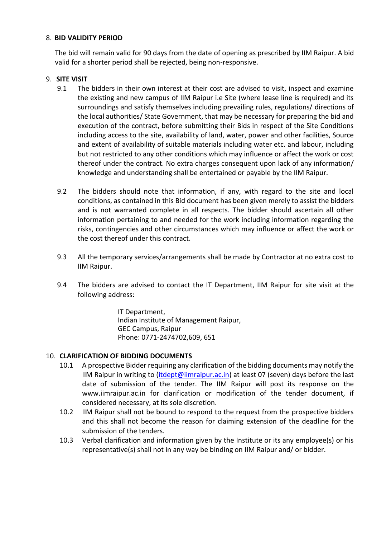# 8. **BID VALIDITY PERIOD**

The bid will remain valid for 90 days from the date of opening as prescribed by IIM Raipur. A bid valid for a shorter period shall be rejected, being non-responsive.

# 9. **SITE VISIT**

- 9.1 The bidders in their own interest at their cost are advised to visit, inspect and examine the existing and new campus of IIM Raipur i.e Site (where lease line is required) and its surroundings and satisfy themselves including prevailing rules, regulations/ directions of the local authorities/ State Government, that may be necessary for preparing the bid and execution of the contract, before submitting their Bids in respect of the Site Conditions including access to the site, availability of land, water, power and other facilities, Source and extent of availability of suitable materials including water etc. and labour, including but not restricted to any other conditions which may influence or affect the work or cost thereof under the contract. No extra charges consequent upon lack of any information/ knowledge and understanding shall be entertained or payable by the IIM Raipur.
- 9.2 The bidders should note that information, if any, with regard to the site and local conditions, as contained in this Bid document has been given merely to assist the bidders and is not warranted complete in all respects. The bidder should ascertain all other information pertaining to and needed for the work including information regarding the risks, contingencies and other circumstances which may influence or affect the work or the cost thereof under this contract.
- 9.3 All the temporary services/arrangements shall be made by Contractor at no extra cost to IIM Raipur.
- 9.4 The bidders are advised to contact the IT Department, IIM Raipur for site visit at the following address:

IT Department, Indian Institute of Management Raipur, GEC Campus, Raipur Phone: 0771-2474702,609, 651

# 10. **CLARIFICATION OF BIDDING DOCUMENTS**

- 10.1 A prospective Bidder requiring any clarification of the bidding documents may notify the IIM Raipur in writing to [\(itdept@iimraipur.ac.in\)](mailto:itdept@iimraipur.ac.in) at least 07 (seven) days before the last date of submission of the tender. The IIM Raipur will post its response on the www.iimraipur.ac.in for clarification or modification of the tender document, if considered necessary, at its sole discretion.
- 10.2 IIM Raipur shall not be bound to respond to the request from the prospective bidders and this shall not become the reason for claiming extension of the deadline for the submission of the tenders.
- 10.3 Verbal clarification and information given by the Institute or its any employee(s) or his representative(s) shall not in any way be binding on IIM Raipur and/ or bidder.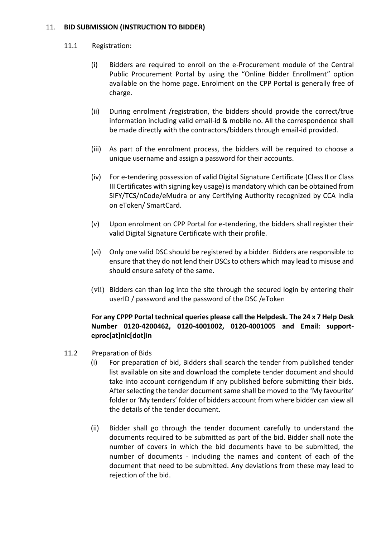# 11. **BID SUBMISSION (INSTRUCTION TO BIDDER)**

# 11.1 Registration:

- (i) Bidders are required to enroll on the e-Procurement module of the Central Public Procurement Portal by using the "Online Bidder Enrollment" option available on the home page. Enrolment on the CPP Portal is generally free of charge.
- (ii) During enrolment /registration, the bidders should provide the correct/true information including valid email-id & mobile no. All the correspondence shall be made directly with the contractors/bidders through email-id provided.
- (iii) As part of the enrolment process, the bidders will be required to choose a unique username and assign a password for their accounts.
- (iv) For e-tendering possession of valid Digital Signature Certificate (Class II or Class III Certificates with signing key usage) is mandatory which can be obtained from SIFY/TCS/nCode/eMudra or any Certifying Authority recognized by CCA India on eToken/ SmartCard.
- (v) Upon enrolment on CPP Portal for e-tendering, the bidders shall register their valid Digital Signature Certificate with their profile.
- (vi) Only one valid DSC should be registered by a bidder. Bidders are responsible to ensure that they do not lend their DSCs to others which may lead to misuse and should ensure safety of the same.
- (vii) Bidders can than log into the site through the secured login by entering their userID / password and the password of the DSC /eToken

# **For any CPPP Portal technical queries please call the Helpdesk. The 24 x 7 Help Desk Number 0120-4200462, 0120-4001002, 0120-4001005 and Email: supporteproc[at]nic[dot]in**

- 11.2 Preparation of Bids
	- (i) For preparation of bid, Bidders shall search the tender from published tender list available on site and download the complete tender document and should take into account corrigendum if any published before submitting their bids. After selecting the tender document same shall be moved to the 'My favourite' folder or 'My tenders' folder of bidders account from where bidder can view all the details of the tender document.
	- (ii) Bidder shall go through the tender document carefully to understand the documents required to be submitted as part of the bid. Bidder shall note the number of covers in which the bid documents have to be submitted, the number of documents - including the names and content of each of the document that need to be submitted. Any deviations from these may lead to rejection of the bid.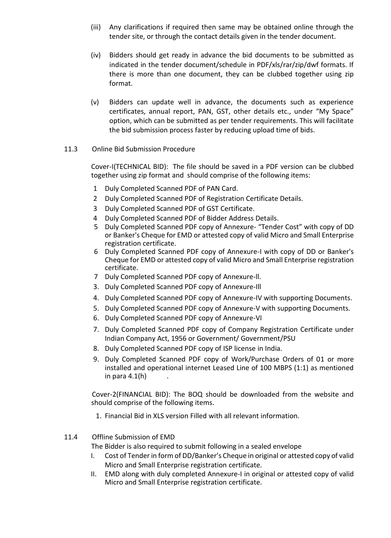- (iii) Any clarifications if required then same may be obtained online through the tender site, or through the contact details given in the tender document.
- (iv) Bidders should get ready in advance the bid documents to be submitted as indicated in the tender document/schedule in PDF/xls/rar/zip/dwf formats. If there is more than one document, they can be clubbed together using zip format.
- (v) Bidders can update well in advance, the documents such as experience certificates, annual report, PAN, GST, other details etc., under "My Space" option, which can be submitted as per tender requirements. This will facilitate the bid submission process faster by reducing upload time of bids.
- 11.3 Online Bid Submission Procedure

Cover-I(TECHNICAL BID): The file should be saved in a PDF version can be clubbed together using zip format and should comprise of the following items:

- 1 Duly Completed Scanned PDF of PAN Card.
- 2 Duly Completed Scanned PDF of Registration Certificate Details.
- 3 Duly Completed Scanned PDF of GST Certificate.
- 4 Duly Completed Scanned PDF of Bidder Address Details.
- 5 Duly Completed Scanned PDF copy of Annexure- "Tender Cost" with copy of DD or Banker's Cheque for EMD or attested copy of valid Micro and Small Enterprise registration certificate.
- 6 Duly Completed Scanned PDF copy of Annexure-I with copy of DD or Banker's Cheque for EMD or attested copy of valid Micro and Small Enterprise registration certificate.
- 7 Duly Completed Scanned PDF copy of Annexure-ll.
- 3. Duly Completed Scanned PDF copy of Annexure-Ill
- 4. Duly Completed Scanned PDF copy of Annexure-IV with supporting Documents.
- 5. Duly Completed Scanned PDF copy of Annexure-V with supporting Documents.
- 6. Duly Completed Scanned PDF copy of Annexure-VI
- 7. Duly Completed Scanned PDF copy of Company Registration Certificate under Indian Company Act, 1956 or Government/ Government/PSU
- 8. Duly Completed Scanned PDF copy of ISP license in India.
- 9. Duly Completed Scanned PDF copy of Work/Purchase Orders of 01 or more installed and operational internet Leased Line of 100 MBPS (1:1) as mentioned in para 4.1(h)

Cover-2(FINANCIAL BID): The BOQ should be downloaded from the website and should comprise of the following items.

1. Financial Bid in XLS version Filled with all relevant information.

# 11.4 Offline Submission of EMD

- The Bidder is also required to submit following in a sealed envelope
- I. Cost of Tender in form of DD/Banker's Cheque in original or attested copy of valid Micro and Small Enterprise registration certificate.
- II. EMD along with duly completed Annexure-I in original or attested copy of valid Micro and Small Enterprise registration certificate.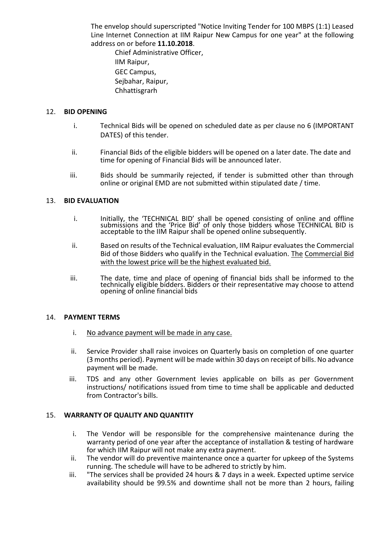The envelop should superscripted "Notice Inviting Tender for 100 MBPS (1:1) Leased Line Internet Connection at IIM Raipur New Campus for one year" at the following address on or before **11.10.2018**.

Chief Administrative Officer, IIM Raipur, GEC Campus, Sejbahar, Raipur, Chhattisgrarh

# 12. **BID OPENING**

- i. Technical Bids will be opened on scheduled date as per clause no 6 (IMPORTANT DATES) of this tender.
- ii. Financial Bids of the eligible bidders will be opened on a later date. The date and time for opening of Financial Bids will be announced later.
- iii. Bids should be summarily rejected, if tender is submitted other than through online or original EMD are not submitted within stipulated date / time.

## 13. **BID EVALUATION**

- i. Initially, the 'TECHNICAL BID' shall be opened consisting of online and offline submissions and the 'Price Bid' of only those bidders whose TECHNICAL BID is acceptable to the IIM Raipur shall be opened online subsequently.
- ii. Based on results of the Technical evaluation, IIM Raipur evaluates the Commercial Bid of those Bidders who qualify in the Technical evaluation. The Commercial Bid with the lowest price will be the highest evaluated bid.
- iii. The date, time and place of opening of financial bids shall be informed to the technically eligible bidders. Bidders or their representative may choose to attend opening of online financial bids

## 14. **PAYMENT TERMS**

- i. No advance payment will be made in any case.
- ii. Service Provider shall raise invoices on Quarterly basis on completion of one quarter (3 months period). Payment will be made within 30 days on receipt of bills. No advance payment will be made.
- iii. TDS and any other Government levies applicable on bills as per Government instructions/ notifications issued from time to time shall be applicable and deducted from Contractor's bills.

## 15. **WARRANTY OF QUALITY AND QUANTITY**

- i. The Vendor will be responsible for the comprehensive maintenance during the warranty period of one year after the acceptance of installation & testing of hardware for which IIM Raipur will not make any extra payment.
- ii. The vendor will do preventive maintenance once a quarter for upkeep of the Systems running. The schedule will have to be adhered to strictly by him.
- iii. "The services shall be provided 24 hours & 7 days in a week. Expected uptime service availability should be 99.5% and downtime shall not be more than 2 hours, failing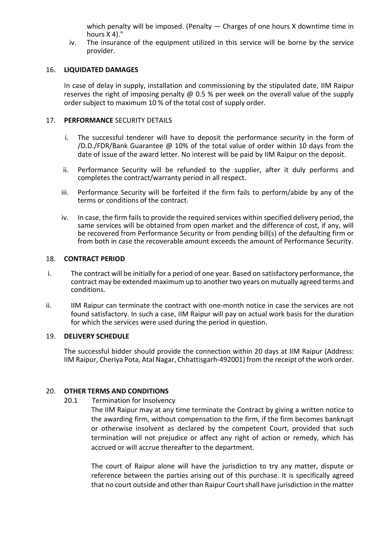which penalty will be imposed. (Penalty  $-$  Charges of one hours X downtime time in hours X 4)."

iv. The insurance of the equipment utilized in this service will be borne by the service provider.

#### 16. **LIQUIDATED DAMAGES**

In case of delay in supply, installation and commissioning by the stipulated date, IIM Raipur reserves the right of imposing penalty  $\omega$  0.5 % per week on the overall value of the supply order subject to maximum 10 % of the total cost of supply order.

### 17. **PERFORMANCE** SECURITY DETAILS

- i. The successful tenderer will have to deposit the performance security in the form of /D.D./FDR/Bank Guarantee @ 10% of the total value of order within 10 days from the date of issue of the award letter. No interest will be paid by IIM Raipur on the deposit.
- ii. Performance Security will be refunded to the supplier, after it duly performs and completes the contract/warranty period in all respect.
- iii. Performance Security will be forfeited if the firm fails to perform/abide by any of the terms or conditions of the contract.
- iv. In case, the firm fails to provide the required services within specified delivery period, the same services will be obtained from open market and the difference of cost, if any, will be recovered from Performance Security or from pending bill(s) of the defaulting firm or from both in case the recoverable amount exceeds the amount of Performance Security.

#### 18. **CONTRACT PERIOD**

- i. The contract will be initially for a period of one year. Based on satisfactory performance, the contract may be extended maximum up to another two years on mutually agreed terms and conditions.
- ii. IIM Raipur can terminate the contract with one-month notice in case the services are not found satisfactory. In such a case, IIM Raipur will pay on actual work basis for the duration for which the services were used during the period in question.

#### 19. **DELIVERY SCHEDULE**

The successful bidder should provide the connection within 20 days at IIM Raipur (Address: IIM Raipur, Cheriya Pota, Atal Nagar, Chhattisgarh-492001) from the receipt of the work order.

## 20. **OTHER TERMS AND CONDITIONS**

20.1 Termination for Insolvency

The IIM Raipur may at any time terminate the Contract by giving a written notice to the awarding firm, without compensation to the firm, if the firm becomes bankrupt or otherwise insolvent as declared by the competent Court, provided that such termination will not prejudice or affect any right of action or remedy, which has accrued or will accrue thereafter to the department.

The court of Raipur alone will have the jurisdiction to try any matter, dispute or reference between the parties arising out of this purchase. It is specifically agreed that no court outside and other than Raipur Court shall have jurisdiction in the matter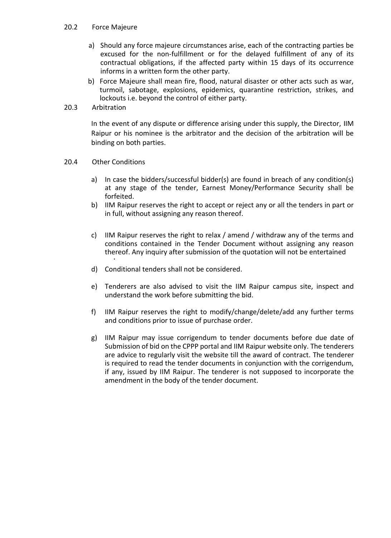# 20.2 Force Majeure

- a) Should any force majeure circumstances arise, each of the contracting parties be excused for the non-fulfillment or for the delayed fulfillment of any of its contractual obligations, if the affected party within 15 days of its occurrence informs in a written form the other party.
- b) Force Majeure shall mean fire, flood, natural disaster or other acts such as war, turmoil, sabotage, explosions, epidemics, quarantine restriction, strikes, and lockouts i.e. beyond the control of either party.
- 20.3 Arbitration

In the event of any dispute or difference arising under this supply, the Director, IIM Raipur or his nominee is the arbitrator and the decision of the arbitration will be binding on both parties.

- 20.4 Other Conditions
	- a) In case the bidders/successful bidder(s) are found in breach of any condition(s) at any stage of the tender, Earnest Money/Performance Security shall be forfeited.
	- b) IIM Raipur reserves the right to accept or reject any or all the tenders in part or in full, without assigning any reason thereof.
	- c) IIM Raipur reserves the right to relax / amend / withdraw any of the terms and conditions contained in the Tender Document without assigning any reason thereof. Any inquiry after submission of the quotation will not be entertained
	- d) Conditional tenders shall not be considered.
	- e) Tenderers are also advised to visit the IIM Raipur campus site, inspect and understand the work before submitting the bid.
	- f) IIM Raipur reserves the right to modify/change/delete/add any further terms and conditions prior to issue of purchase order.
	- g) IIM Raipur may issue corrigendum to tender documents before due date of Submission of bid on the CPPP portal and IIM Raipur website only. The tenderers are advice to regularly visit the website till the award of contract. The tenderer is required to read the tender documents in conjunction with the corrigendum, if any, issued by IIM Raipur. The tenderer is not supposed to incorporate the amendment in the body of the tender document.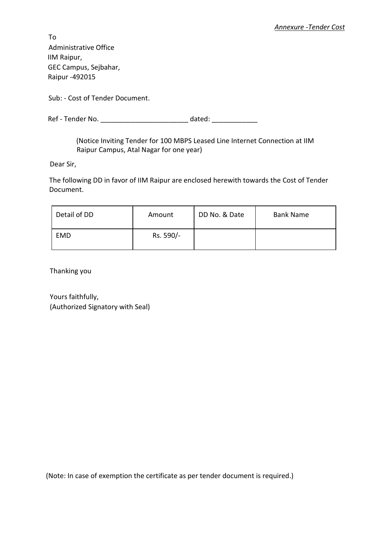To Administrative Office IIM Raipur, GEC Campus, Sejbahar, Raipur -492015

Sub: - Cost of Tender Document.

Ref - Tender No. \_\_\_\_\_\_\_\_\_\_\_\_\_\_\_\_\_\_\_\_\_\_\_\_\_\_\_\_\_\_\_\_\_\_ dated: \_\_\_\_\_\_\_\_\_\_\_\_\_\_\_\_\_\_\_\_\_

(Notice Inviting Tender for 100 MBPS Leased Line Internet Connection at IIM Raipur Campus, Atal Nagar for one year)

Dear Sir,

The following DD in favor of IIM Raipur are enclosed herewith towards the Cost of Tender Document.

| Detail of DD | Amount    | DD No. & Date | <b>Bank Name</b> |  |  |
|--------------|-----------|---------------|------------------|--|--|
| EMD          | Rs. 590/- |               |                  |  |  |

Thanking you

Yours faithfully, (Authorized Signatory with Seal)

(Note: In case of exemption the certificate as per tender document is required.)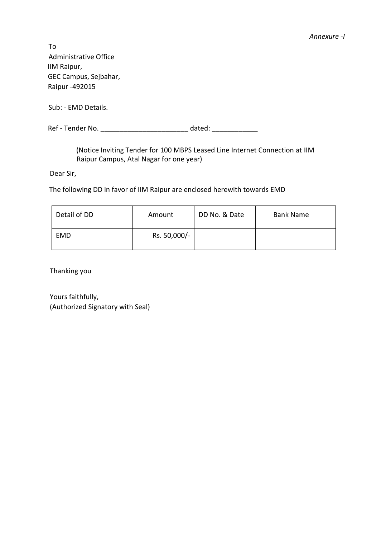#### *Annexure -I*

To Administrative Office IIM Raipur, GEC Campus, Sejbahar, Raipur -492015

Sub: - EMD Details.

Ref - Tender No. **Example 20** at the dated:

(Notice Inviting Tender for 100 MBPS Leased Line Internet Connection at IIM Raipur Campus, Atal Nagar for one year)

Dear Sir,

The following DD in favor of IIM Raipur are enclosed herewith towards EMD

| Detail of DD | Amount       | DD No. & Date | <b>Bank Name</b> |  |  |
|--------------|--------------|---------------|------------------|--|--|
| EMD          | Rs. 50,000/- |               |                  |  |  |

Thanking you

Yours faithfully, (Authorized Signatory with Seal)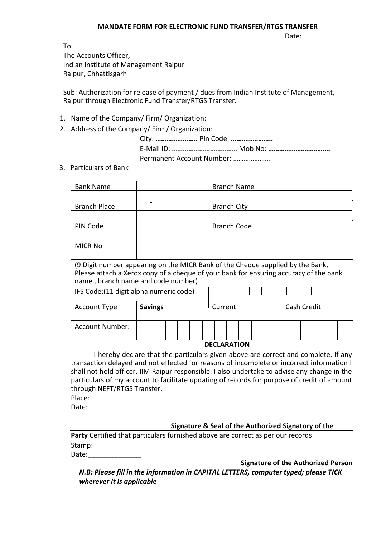#### **MANDATE FORM FOR ELECTRONIC FUND TRANSFER/RTGS TRANSFER**

Date:

To The Accounts Officer, Indian Institute of Management Raipur Raipur, Chhattisgarh

Sub: Authorization for release of payment / dues from Indian Institute of Management, Raipur through Electronic Fund Transfer/RTGS Transfer.

- 1. Name of the Company/ Firm/ Organization:
- 2. Address of the Company/ Firm/ Organization:

City: **…………………..** Pin Code: **…………………..** E-Mail ID: **………………………………** Mob No: **…………………………….** Permanent Account Number: …………………

3. Particulars of Bank

| <b>Bank Name</b>    | <b>Branch Name</b> |  |
|---------------------|--------------------|--|
|                     |                    |  |
| <b>Branch Place</b> | <b>Branch City</b> |  |
|                     |                    |  |
| PIN Code            | <b>Branch Code</b> |  |
|                     |                    |  |
| <b>MICR No</b>      |                    |  |
|                     |                    |  |

(9 Digit number appearing on the MICR Bank of the Cheque supplied by the Bank, Please attach a Xerox copy of a cheque of your bank for ensuring accuracy of the bank name , branch name and code number)

| IFS Code: (11 digit alpha numeric code) |                |  |  |  |                    |  |  |  |             |  |  |  |  |  |
|-----------------------------------------|----------------|--|--|--|--------------------|--|--|--|-------------|--|--|--|--|--|
| Account Type                            | <b>Savings</b> |  |  |  | Current            |  |  |  | Cash Credit |  |  |  |  |  |
| <b>Account Number:</b>                  |                |  |  |  |                    |  |  |  |             |  |  |  |  |  |
|                                         |                |  |  |  | <b>DECLADATION</b> |  |  |  |             |  |  |  |  |  |

#### **DECLARATION**

I hereby declare that the particulars given above are correct and complete. If any transaction delayed and not effected for reasons of incomplete or incorrect information I shall not hold officer, IIM Raipur responsible. I also undertake to advise any change in the particulars of my account to facilitate updating of records for purpose of credit of amount through NEFT/RTGS Transfer.

Place:

Date:

# **Signature & Seal of the Authorized Signatory of the**

**Party** Certified that particulars furnished above are correct as per our records Stamp:

Date:

**Signature of the Authorized Person**

*N.B: Please fill in the information in CAPITAL LETTERS, computer typed; please TICK wherever it is applicable*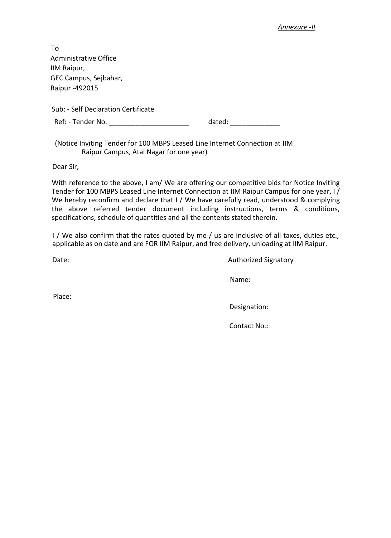#### *Annexure -II*

| To                                  |        |  |
|-------------------------------------|--------|--|
| <b>Administrative Office</b>        |        |  |
| IIM Raipur,                         |        |  |
| GEC Campus, Sejbahar,               |        |  |
| Raipur - 492015                     |        |  |
| Sub: - Self Declaration Certificate |        |  |
| Ref: - Tender No.                   | dated: |  |
|                                     |        |  |

(Notice Inviting Tender for 100 MBPS Leased Line Internet Connection at IIM Raipur Campus, Atal Nagar for one year)

Dear Sir,

With reference to the above, I am/ We are offering our competitive bids for Notice Inviting Tender for 100 MBPS Leased Line Internet Connection at IIM Raipur Campus for one year, I / We hereby reconfirm and declare that I / We have carefully read, understood & complying the above referred tender document including instructions, terms & conditions, specifications, schedule of quantities and all the contents stated therein.

I / We also confirm that the rates quoted by me / us are inclusive of all taxes, duties etc., applicable as on date and are FOR IIM Raipur, and free delivery, unloading at IIM Raipur.

Date: **Authorized Signatory** 

Name:

Place:

Designation:

Contact No.: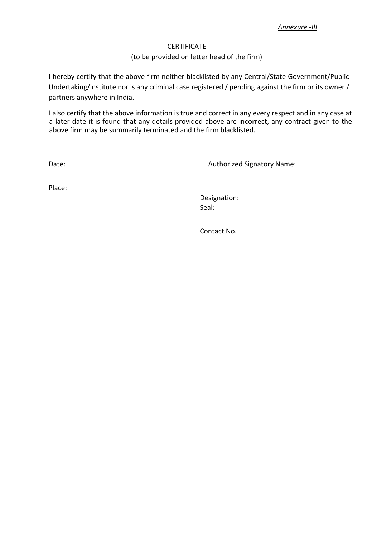# **CERTIFICATE**

# (to be provided on letter head of the firm)

I hereby certify that the above firm neither blacklisted by any Central/State Government/Public Undertaking/institute nor is any criminal case registered / pending against the firm or its owner / partners anywhere in India.

I also certify that the above information is true and correct in any every respect and in any case at a later date it is found that any details provided above are incorrect, any contract given to the above firm may be summarily terminated and the firm blacklisted.

Date: Date: Contract of the Contract of Authorized Signatory Name:

Place:

Designation: Seal:

Contact No.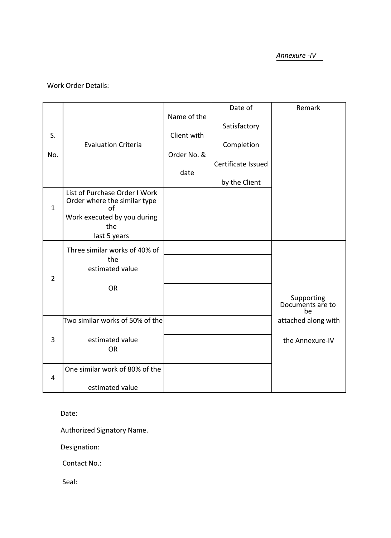*Annexure -IV*

# Work Order Details:

|                |                                                                     |             | Date of            | Remark                 |
|----------------|---------------------------------------------------------------------|-------------|--------------------|------------------------|
|                |                                                                     | Name of the | Satisfactory       |                        |
| S.             |                                                                     | Client with |                    |                        |
| No.            | <b>Evaluation Criteria</b>                                          | Order No. & | Completion         |                        |
|                |                                                                     |             | Certificate Issued |                        |
|                |                                                                     | date        |                    |                        |
|                |                                                                     |             | by the Client      |                        |
| $\mathbf{1}$   | List of Purchase Order I Work<br>Order where the similar type<br>οf |             |                    |                        |
|                | Work executed by you during                                         |             |                    |                        |
|                | the                                                                 |             |                    |                        |
|                | last 5 years                                                        |             |                    |                        |
|                | Three similar works of 40% of                                       |             |                    |                        |
|                | the<br>estimated value                                              |             |                    |                        |
| $\overline{2}$ |                                                                     |             |                    |                        |
|                | <b>OR</b>                                                           |             |                    |                        |
|                |                                                                     |             |                    | Supporting             |
|                |                                                                     |             |                    | Documents are to<br>be |
|                | Two similar works of 50% of the                                     |             |                    | attached along with    |
|                |                                                                     |             |                    |                        |
| 3              | estimated value<br><b>OR</b>                                        |             |                    | the Annexure-IV        |
|                |                                                                     |             |                    |                        |
|                | One similar work of 80% of the                                      |             |                    |                        |
| 4              |                                                                     |             |                    |                        |
|                | estimated value                                                     |             |                    |                        |

Date:

Authorized Signatory Name.

Designation:

Contact No.:

Seal: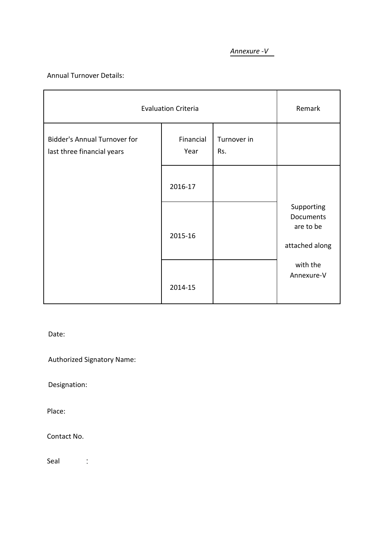# *Annexure -V*

Annual Turnover Details:

| <b>Evaluation Criteria</b>                                        | Remark            |                    |                                                        |
|-------------------------------------------------------------------|-------------------|--------------------|--------------------------------------------------------|
| <b>Bidder's Annual Turnover for</b><br>last three financial years | Financial<br>Year | Turnover in<br>Rs. |                                                        |
|                                                                   | 2016-17           |                    |                                                        |
|                                                                   | 2015-16           |                    | Supporting<br>Documents<br>are to be<br>attached along |
|                                                                   | 2014-15           |                    | with the<br>Annexure-V                                 |

Date:

Authorized Signatory Name:

Designation:

Place:

Contact No.

Seal :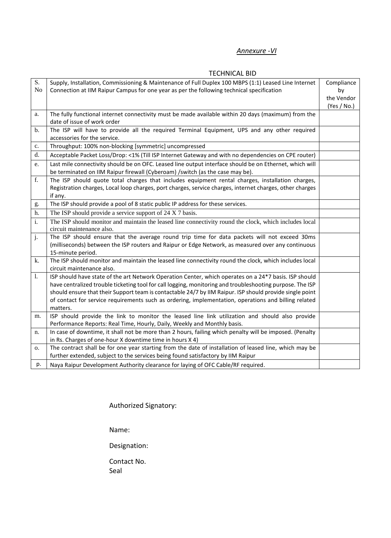# *Annexure -VI*

|    | TLUTINIUAL DIU                                                                                            |             |
|----|-----------------------------------------------------------------------------------------------------------|-------------|
| S. | Supply, Installation, Commissioning & Maintenance of Full Duplex 100 MBPS (1:1) Leased Line Internet      | Compliance  |
| No | Connection at IIM Raipur Campus for one year as per the following technical specification                 | by          |
|    |                                                                                                           | the Vendor  |
|    |                                                                                                           | (Yes / No.) |
| a. | The fully functional internet connectivity must be made available within 20 days (maximum) from the       |             |
|    | date of issue of work order                                                                               |             |
| b. | The ISP will have to provide all the required Terminal Equipment, UPS and any other required              |             |
|    | accessories for the service.                                                                              |             |
| c. | Throughput: 100% non-blocking [symmetric] uncompressed                                                    |             |
| d. | Acceptable Packet Loss/Drop: <1% (Till ISP Internet Gateway and with no dependencies on CPE router)       |             |
| e. | Last mile connectivity should be on OFC. Leased line output interface should be on Ethernet, which will   |             |
|    | be terminated on IIM Raipur firewall (Cyberoam) /switch (as the case may be).                             |             |
| f. | The ISP should quote total charges that includes equipment rental charges, installation charges,          |             |
|    | Registration charges, Local loop charges, port charges, service charges, internet charges, other charges  |             |
|    | if any.                                                                                                   |             |
| g. | The ISP should provide a pool of 8 static public IP address for these services.                           |             |
| h. | The ISP should provide a service support of 24 X 7 basis.                                                 |             |
| i. | The ISP should monitor and maintain the leased line connectivity round the clock, which includes local    |             |
|    | circuit maintenance also.                                                                                 |             |
| j. | The ISP should ensure that the average round trip time for data packets will not exceed 30ms              |             |
|    | (milliseconds) between the ISP routers and Raipur or Edge Network, as measured over any continuous        |             |
|    | 15-minute period.                                                                                         |             |
| k. | The ISP should monitor and maintain the leased line connectivity round the clock, which includes local    |             |
|    | circuit maintenance also.                                                                                 |             |
| 1. | ISP should have state of the art Network Operation Center, which operates on a 24*7 basis. ISP should     |             |
|    | have centralized trouble ticketing tool for call logging, monitoring and troubleshooting purpose. The ISP |             |
|    | should ensure that their Support team is contactable 24/7 by IIM Raipur. ISP should provide single point  |             |
|    | of contact for service requirements such as ordering, implementation, operations and billing related      |             |
|    | matters.                                                                                                  |             |
| m. | ISP should provide the link to monitor the leased line link utilization and should also provide           |             |
|    | Performance Reports: Real Time, Hourly, Daily, Weekly and Monthly basis.                                  |             |
| n. | In case of downtime, it shall not be more than 2 hours, failing which penalty will be imposed. (Penalty   |             |
|    | in Rs. Charges of one-hour X downtime time in hours X 4)                                                  |             |
| 0. | The contract shall be for one year starting from the date of installation of leased line, which may be    |             |
|    | further extended, subject to the services being found satisfactory by IIM Raipur                          |             |
| p. | Naya Raipur Development Authority clearance for laying of OFC Cable/RF required.                          |             |

# TECHNICAL BID

Authorized Signatory:

Name:

Designation:

Contact No. Seal